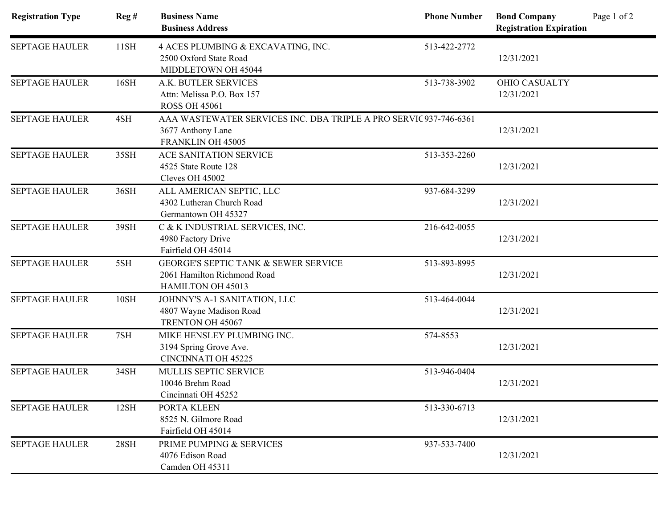| <b>Registration Type</b> | Reg#        | <b>Business Name</b><br><b>Business Address</b>                                                             | <b>Phone Number</b> | Page 1 of 2<br><b>Bond Company</b><br><b>Registration Expiration</b> |
|--------------------------|-------------|-------------------------------------------------------------------------------------------------------------|---------------------|----------------------------------------------------------------------|
| <b>SEPTAGE HAULER</b>    | 11SH        | 4 ACES PLUMBING & EXCAVATING, INC.<br>2500 Oxford State Road<br>MIDDLETOWN OH 45044                         | 513-422-2772        | 12/31/2021                                                           |
| <b>SEPTAGE HAULER</b>    | 16SH        | A.K. BUTLER SERVICES<br>Attn: Melissa P.O. Box 157<br><b>ROSS OH 45061</b>                                  | 513-738-3902        | <b>OHIO CASUALTY</b><br>12/31/2021                                   |
| <b>SEPTAGE HAULER</b>    | 4SH         | AAA WASTEWATER SERVICES INC. DBA TRIPLE A PRO SERVIC 937-746-6361<br>3677 Anthony Lane<br>FRANKLIN OH 45005 |                     | 12/31/2021                                                           |
| <b>SEPTAGE HAULER</b>    | 35SH        | ACE SANITATION SERVICE<br>4525 State Route 128<br>Cleves OH 45002                                           | 513-353-2260        | 12/31/2021                                                           |
| <b>SEPTAGE HAULER</b>    | 36SH        | ALL AMERICAN SEPTIC, LLC<br>4302 Lutheran Church Road<br>Germantown OH 45327                                | 937-684-3299        | 12/31/2021                                                           |
| <b>SEPTAGE HAULER</b>    | 39SH        | C & K INDUSTRIAL SERVICES, INC.<br>4980 Factory Drive<br>Fairfield OH 45014                                 | 216-642-0055        | 12/31/2021                                                           |
| <b>SEPTAGE HAULER</b>    | 5SH         | <b>GEORGE'S SEPTIC TANK &amp; SEWER SERVICE</b><br>2061 Hamilton Richmond Road<br>HAMILTON OH 45013         | 513-893-8995        | 12/31/2021                                                           |
| <b>SEPTAGE HAULER</b>    | <b>10SH</b> | JOHNNY'S A-1 SANITATION, LLC<br>4807 Wayne Madison Road<br>TRENTON OH 45067                                 | 513-464-0044        | 12/31/2021                                                           |
| <b>SEPTAGE HAULER</b>    | 7SH         | MIKE HENSLEY PLUMBING INC.<br>3194 Spring Grove Ave.<br><b>CINCINNATI OH 45225</b>                          | 574-8553            | 12/31/2021                                                           |
| <b>SEPTAGE HAULER</b>    | 34SH        | MULLIS SEPTIC SERVICE<br>10046 Brehm Road<br>Cincinnati OH 45252                                            | 513-946-0404        | 12/31/2021                                                           |
| <b>SEPTAGE HAULER</b>    | 12SH        | PORTA KLEEN<br>8525 N. Gilmore Road<br>Fairfield OH 45014                                                   | 513-330-6713        | 12/31/2021                                                           |
| <b>SEPTAGE HAULER</b>    | 28SH        | PRIME PUMPING & SERVICES<br>4076 Edison Road<br>Camden OH 45311                                             | 937-533-7400        | 12/31/2021                                                           |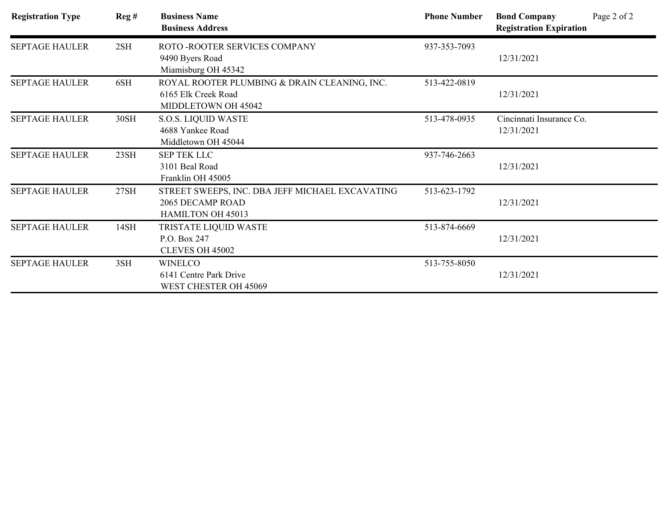| <b>Registration Type</b> | Reg# | <b>Business Name</b><br><b>Business Address</b>                                            | <b>Phone Number</b> | <b>Bond Company</b><br><b>Registration Expiration</b> | Page 2 of 2 |
|--------------------------|------|--------------------------------------------------------------------------------------------|---------------------|-------------------------------------------------------|-------------|
| <b>SEPTAGE HAULER</b>    | 2SH  | ROTO - ROOTER SERVICES COMPANY<br>9490 Byers Road<br>Miamisburg OH 45342                   | 937-353-7093        | 12/31/2021                                            |             |
| <b>SEPTAGE HAULER</b>    | 6SH  | ROYAL ROOTER PLUMBING & DRAIN CLEANING, INC.<br>6165 Elk Creek Road<br>MIDDLETOWN OH 45042 | 513-422-0819        | 12/31/2021                                            |             |
| <b>SEPTAGE HAULER</b>    | 30SH | <b>S.O.S. LIQUID WASTE</b><br>4688 Yankee Road<br>Middletown OH 45044                      | 513-478-0935        | Cincinnati Insurance Co.<br>12/31/2021                |             |
| <b>SEPTAGE HAULER</b>    | 23SH | <b>SEP TEK LLC</b><br>3101 Beal Road<br>Franklin OH 45005                                  | 937-746-2663        | 12/31/2021                                            |             |
| <b>SEPTAGE HAULER</b>    | 27SH | STREET SWEEPS, INC. DBA JEFF MICHAEL EXCAVATING<br>2065 DECAMP ROAD<br>HAMILTON OH 45013   | 513-623-1792        | 12/31/2021                                            |             |
| <b>SEPTAGE HAULER</b>    | 14SH | TRISTATE LIQUID WASTE<br>P.O. Box 247<br>CLEVES OH 45002                                   | 513-874-6669        | 12/31/2021                                            |             |
| <b>SEPTAGE HAULER</b>    | 3SH  | <b>WINELCO</b><br>6141 Centre Park Drive<br>WEST CHESTER OH 45069                          | 513-755-8050        | 12/31/2021                                            |             |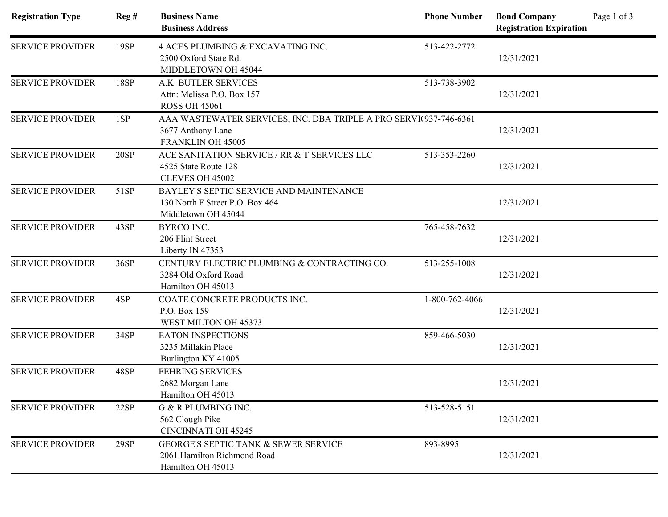| <b>Registration Type</b> | Reg# | <b>Business Name</b><br><b>Business Address</b>                                                             | <b>Phone Number</b> | Page 1 of 3<br><b>Bond Company</b><br><b>Registration Expiration</b> |  |
|--------------------------|------|-------------------------------------------------------------------------------------------------------------|---------------------|----------------------------------------------------------------------|--|
| <b>SERVICE PROVIDER</b>  | 19SP | 4 ACES PLUMBING & EXCAVATING INC.<br>2500 Oxford State Rd.<br>MIDDLETOWN OH 45044                           | 513-422-2772        | 12/31/2021                                                           |  |
| <b>SERVICE PROVIDER</b>  | 18SP | A.K. BUTLER SERVICES<br>Attn: Melissa P.O. Box 157<br><b>ROSS OH 45061</b>                                  | 513-738-3902        | 12/31/2021                                                           |  |
| <b>SERVICE PROVIDER</b>  | 1SP  | AAA WASTEWATER SERVICES, INC. DBA TRIPLE A PRO SERVI(937-746-6361<br>3677 Anthony Lane<br>FRANKLIN OH 45005 |                     | 12/31/2021                                                           |  |
| <b>SERVICE PROVIDER</b>  | 20SP | ACE SANITATION SERVICE / RR & T SERVICES LLC<br>4525 State Route 128<br>CLEVES OH 45002                     | 513-353-2260        | 12/31/2021                                                           |  |
| <b>SERVICE PROVIDER</b>  | 51SP | BAYLEY'S SEPTIC SERVICE AND MAINTENANCE<br>130 North F Street P.O. Box 464<br>Middletown OH 45044           |                     | 12/31/2021                                                           |  |
| <b>SERVICE PROVIDER</b>  | 43SP | <b>BYRCO INC.</b><br>206 Flint Street<br>Liberty IN 47353                                                   | 765-458-7632        | 12/31/2021                                                           |  |
| <b>SERVICE PROVIDER</b>  | 36SP | CENTURY ELECTRIC PLUMBING & CONTRACTING CO.<br>3284 Old Oxford Road<br>Hamilton OH 45013                    | 513-255-1008        | 12/31/2021                                                           |  |
| <b>SERVICE PROVIDER</b>  | 4SP  | COATE CONCRETE PRODUCTS INC.<br>P.O. Box 159<br>WEST MILTON OH 45373                                        | 1-800-762-4066      | 12/31/2021                                                           |  |
| <b>SERVICE PROVIDER</b>  | 34SP | <b>EATON INSPECTIONS</b><br>3235 Millakin Place<br>Burlington KY 41005                                      | 859-466-5030        | 12/31/2021                                                           |  |
| <b>SERVICE PROVIDER</b>  | 48SP | <b>FEHRING SERVICES</b><br>2682 Morgan Lane<br>Hamilton OH 45013                                            |                     | 12/31/2021                                                           |  |
| <b>SERVICE PROVIDER</b>  | 22SP | <b>G &amp; R PLUMBING INC.</b><br>562 Clough Pike<br><b>CINCINNATI OH 45245</b>                             | 513-528-5151        | 12/31/2021                                                           |  |
| <b>SERVICE PROVIDER</b>  | 29SP | <b>GEORGE'S SEPTIC TANK &amp; SEWER SERVICE</b><br>2061 Hamilton Richmond Road<br>Hamilton OH 45013         | 893-8995            | 12/31/2021                                                           |  |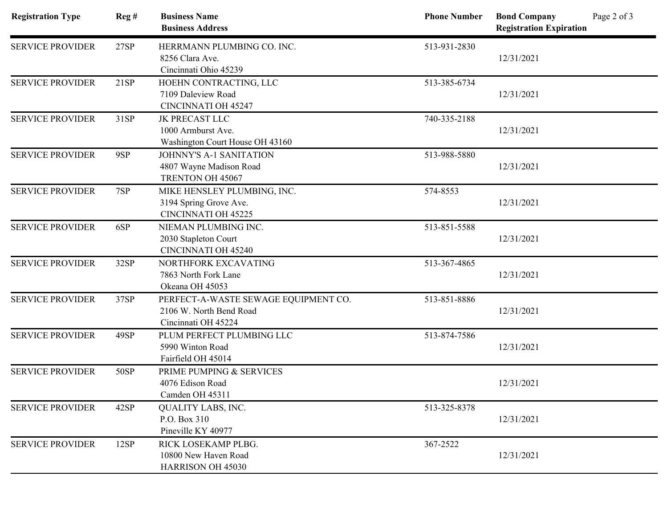| <b>Registration Type</b>       | Reg# | <b>Business Name</b><br><b>Business Address</b> | <b>Phone Number</b> | Page 2 of 3<br><b>Bond Company</b><br><b>Registration Expiration</b> |
|--------------------------------|------|-------------------------------------------------|---------------------|----------------------------------------------------------------------|
| <b>SERVICE PROVIDER</b>        | 27SP | HERRMANN PLUMBING CO. INC.                      | 513-931-2830        |                                                                      |
|                                |      | 8256 Clara Ave.                                 |                     | 12/31/2021                                                           |
|                                |      | Cincinnati Ohio 45239                           |                     |                                                                      |
| <b>SERVICE PROVIDER</b>        | 21SP | HOEHN CONTRACTING, LLC                          | 513-385-6734        |                                                                      |
|                                |      | 7109 Daleview Road                              |                     | 12/31/2021                                                           |
|                                |      | <b>CINCINNATI OH 45247</b>                      |                     |                                                                      |
| <b>SERVICE PROVIDER</b>        | 31SP | <b>JK PRECAST LLC</b>                           | 740-335-2188        |                                                                      |
|                                |      | 1000 Armburst Ave.                              |                     | 12/31/2021                                                           |
|                                |      | Washington Court House OH 43160                 |                     |                                                                      |
| <b>SERVICE PROVIDER</b>        | 9SP  | <b>JOHNNY'S A-1 SANITATION</b>                  | 513-988-5880        |                                                                      |
|                                |      | 4807 Wayne Madison Road                         |                     | 12/31/2021                                                           |
|                                |      | TRENTON OH 45067                                |                     |                                                                      |
| <b>SERVICE PROVIDER</b>        | 7SP  | MIKE HENSLEY PLUMBING, INC.                     | 574-8553            |                                                                      |
|                                |      | 3194 Spring Grove Ave.                          |                     | 12/31/2021                                                           |
| <b>CINCINNATI OH 45225</b>     |      |                                                 |                     |                                                                      |
| <b>SERVICE PROVIDER</b><br>6SP |      | NIEMAN PLUMBING INC.                            | 513-851-5588        |                                                                      |
|                                |      | 2030 Stapleton Court                            |                     | 12/31/2021                                                           |
|                                |      | <b>CINCINNATI OH 45240</b>                      |                     |                                                                      |
| <b>SERVICE PROVIDER</b>        | 32SP | NORTHFORK EXCAVATING                            | 513-367-4865        |                                                                      |
|                                |      | 7863 North Fork Lane                            |                     | 12/31/2021                                                           |
|                                |      | Okeana OH 45053                                 |                     |                                                                      |
| <b>SERVICE PROVIDER</b>        | 37SP | PERFECT-A-WASTE SEWAGE EQUIPMENT CO.            | 513-851-8886        |                                                                      |
|                                |      | 2106 W. North Bend Road                         |                     | 12/31/2021                                                           |
|                                |      | Cincinnati OH 45224                             |                     |                                                                      |
| <b>SERVICE PROVIDER</b>        | 49SP | PLUM PERFECT PLUMBING LLC                       | 513-874-7586        |                                                                      |
|                                |      | 5990 Winton Road                                |                     | 12/31/2021                                                           |
|                                |      | Fairfield OH 45014                              |                     |                                                                      |
| <b>SERVICE PROVIDER</b>        | 50SP | PRIME PUMPING & SERVICES                        |                     |                                                                      |
|                                |      | 4076 Edison Road                                |                     | 12/31/2021                                                           |
|                                |      | Camden OH 45311                                 |                     |                                                                      |
| <b>SERVICE PROVIDER</b>        | 42SP | <b>QUALITY LABS, INC.</b>                       | 513-325-8378        |                                                                      |
|                                |      | P.O. Box 310                                    |                     | 12/31/2021                                                           |
|                                |      | Pineville KY 40977                              |                     |                                                                      |
| <b>SERVICE PROVIDER</b>        | 12SP | RICK LOSEKAMP PLBG.                             | 367-2522            |                                                                      |
|                                |      | 10800 New Haven Road                            |                     | 12/31/2021                                                           |
|                                |      | HARRISON OH 45030                               |                     |                                                                      |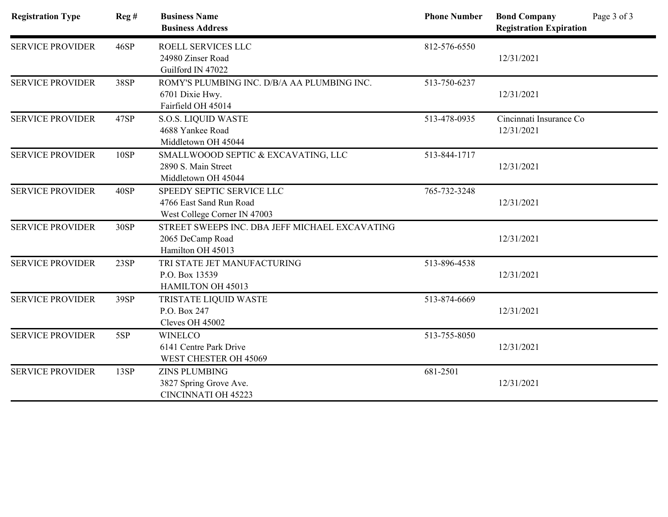| <b>Registration Type</b> | Reg# | <b>Business Name</b><br><b>Business Address</b> | <b>Phone Number</b> | Page 3 of 3<br><b>Bond Company</b><br><b>Registration Expiration</b> |
|--------------------------|------|-------------------------------------------------|---------------------|----------------------------------------------------------------------|
|                          |      |                                                 |                     |                                                                      |
| <b>SERVICE PROVIDER</b>  | 46SP | ROELL SERVICES LLC                              | 812-576-6550        |                                                                      |
|                          |      | 24980 Zinser Road                               |                     | 12/31/2021                                                           |
|                          |      | Guilford IN 47022                               |                     |                                                                      |
| <b>SERVICE PROVIDER</b>  | 38SP | ROMY'S PLUMBING INC. D/B/A AA PLUMBING INC.     | 513-750-6237        |                                                                      |
|                          |      | 6701 Dixie Hwy.                                 |                     | 12/31/2021                                                           |
|                          |      | Fairfield OH 45014                              |                     |                                                                      |
| <b>SERVICE PROVIDER</b>  | 47SP | <b>S.O.S. LIQUID WASTE</b>                      | 513-478-0935        | Cincinnati Insurance Co                                              |
|                          |      | 4688 Yankee Road                                |                     | 12/31/2021                                                           |
|                          |      | Middletown OH 45044                             |                     |                                                                      |
| <b>SERVICE PROVIDER</b>  | 10SP | SMALLWOOOD SEPTIC & EXCAVATING, LLC             | 513-844-1717        |                                                                      |
|                          |      | 2890 S. Main Street                             |                     | 12/31/2021                                                           |
|                          |      | Middletown OH 45044                             |                     |                                                                      |
| <b>SERVICE PROVIDER</b>  | 40SP | SPEEDY SEPTIC SERVICE LLC                       | 765-732-3248        |                                                                      |
|                          |      | 4766 East Sand Run Road                         |                     | 12/31/2021                                                           |
|                          |      | West College Corner IN 47003                    |                     |                                                                      |
| <b>SERVICE PROVIDER</b>  | 30SP | STREET SWEEPS INC. DBA JEFF MICHAEL EXCAVATING  |                     |                                                                      |
|                          |      | 2065 DeCamp Road                                |                     | 12/31/2021                                                           |
|                          |      | Hamilton OH 45013                               |                     |                                                                      |
| <b>SERVICE PROVIDER</b>  | 23SP | TRI STATE JET MANUFACTURING                     | 513-896-4538        |                                                                      |
|                          |      | P.O. Box 13539                                  |                     | 12/31/2021                                                           |
|                          |      | HAMILTON OH 45013                               |                     |                                                                      |
| <b>SERVICE PROVIDER</b>  | 39SP | TRISTATE LIQUID WASTE                           | 513-874-6669        |                                                                      |
|                          |      | P.O. Box 247                                    |                     | 12/31/2021                                                           |
|                          |      | Cleves OH 45002                                 |                     |                                                                      |
| <b>SERVICE PROVIDER</b>  | 5SP  | <b>WINELCO</b>                                  | 513-755-8050        |                                                                      |
|                          |      | 6141 Centre Park Drive                          |                     | 12/31/2021                                                           |
|                          |      | WEST CHESTER OH 45069                           |                     |                                                                      |
| <b>SERVICE PROVIDER</b>  | 13SP | <b>ZINS PLUMBING</b>                            | 681-2501            |                                                                      |
|                          |      | 3827 Spring Grove Ave.                          |                     | 12/31/2021                                                           |
|                          |      | <b>CINCINNATI OH 45223</b>                      |                     |                                                                      |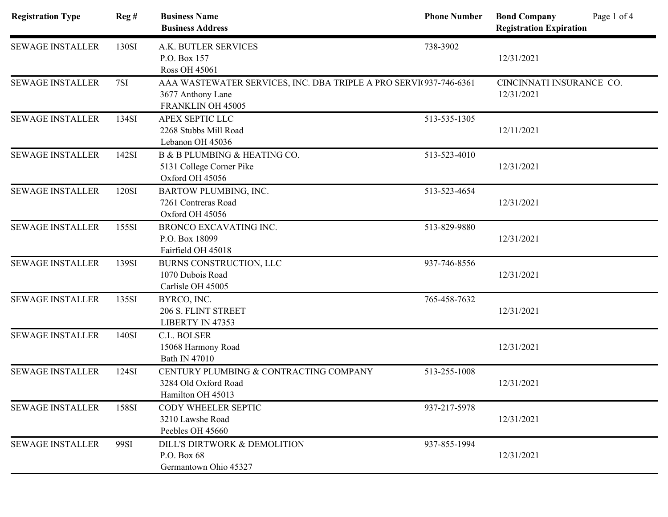| <b>Registration Type</b> | Reg#  | <b>Business Name</b><br><b>Business Address</b>                                                             | <b>Phone Number</b> | Page 1 of 4<br><b>Bond Company</b><br><b>Registration Expiration</b> |
|--------------------------|-------|-------------------------------------------------------------------------------------------------------------|---------------------|----------------------------------------------------------------------|
| <b>SEWAGE INSTALLER</b>  | 130SI | A.K. BUTLER SERVICES<br>P.O. Box 157<br><b>Ross OH 45061</b>                                                | 738-3902            | 12/31/2021                                                           |
| <b>SEWAGE INSTALLER</b>  | 7SI   | AAA WASTEWATER SERVICES, INC. DBA TRIPLE A PRO SERVI(937-746-6361<br>3677 Anthony Lane<br>FRANKLIN OH 45005 |                     | CINCINNATI INSURANCE CO.<br>12/31/2021                               |
| <b>SEWAGE INSTALLER</b>  | 134SI | APEX SEPTIC LLC<br>2268 Stubbs Mill Road<br>Lebanon OH 45036                                                | 513-535-1305        | 12/11/2021                                                           |
| <b>SEWAGE INSTALLER</b>  | 142SI | B & B PLUMBING & HEATING CO.<br>5131 College Corner Pike<br>Oxford OH 45056                                 | 513-523-4010        | 12/31/2021                                                           |
| <b>SEWAGE INSTALLER</b>  | 120SI | <b>BARTOW PLUMBING, INC.</b><br>7261 Contreras Road<br>Oxford OH 45056                                      | 513-523-4654        | 12/31/2021                                                           |
| <b>SEWAGE INSTALLER</b>  | 155SI | <b>BRONCO EXCAVATING INC.</b><br>P.O. Box 18099<br>Fairfield OH 45018                                       | 513-829-9880        | 12/31/2021                                                           |
| <b>SEWAGE INSTALLER</b>  | 139SI | BURNS CONSTRUCTION, LLC<br>1070 Dubois Road<br>Carlisle OH 45005                                            | 937-746-8556        | 12/31/2021                                                           |
| <b>SEWAGE INSTALLER</b>  | 135SI | BYRCO, INC.<br>206 S. FLINT STREET<br>LIBERTY IN 47353                                                      | 765-458-7632        | 12/31/2021                                                           |
| <b>SEWAGE INSTALLER</b>  | 140SI | C.L. BOLSER<br>15068 Harmony Road<br>Bath IN 47010                                                          |                     | 12/31/2021                                                           |
| <b>SEWAGE INSTALLER</b>  | 124SI | CENTURY PLUMBING & CONTRACTING COMPANY<br>3284 Old Oxford Road<br>Hamilton OH 45013                         | 513-255-1008        | 12/31/2021                                                           |
| <b>SEWAGE INSTALLER</b>  | 158SI | CODY WHEELER SEPTIC<br>3210 Lawshe Road<br>Peebles OH 45660                                                 | 937-217-5978        | 12/31/2021                                                           |
| <b>SEWAGE INSTALLER</b>  | 99SI  | DILL'S DIRTWORK & DEMOLITION<br>P.O. Box 68<br>Germantown Ohio 45327                                        | 937-855-1994        | 12/31/2021                                                           |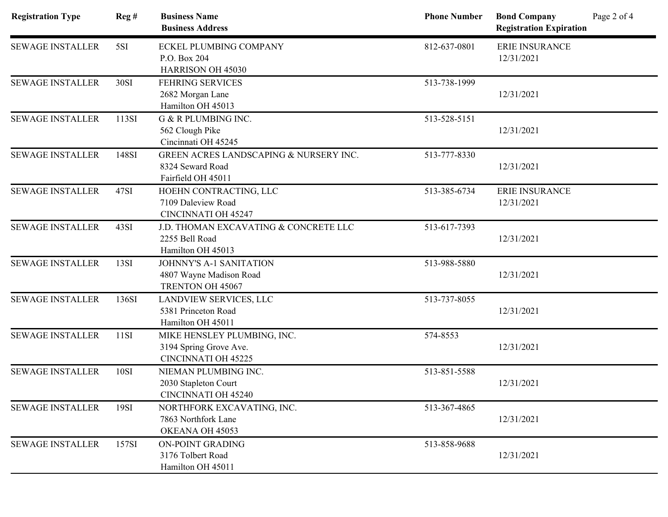| <b>Registration Type</b> | Reg#  | <b>Business Name</b><br><b>Business Address</b>                                     | <b>Phone Number</b> | Page 2 of 4<br><b>Bond Company</b><br><b>Registration Expiration</b> |
|--------------------------|-------|-------------------------------------------------------------------------------------|---------------------|----------------------------------------------------------------------|
| <b>SEWAGE INSTALLER</b>  | 5SI   | <b>ECKEL PLUMBING COMPANY</b><br>P.O. Box 204<br>HARRISON OH 45030                  | 812-637-0801        | <b>ERIE INSURANCE</b><br>12/31/2021                                  |
| <b>SEWAGE INSTALLER</b>  | 30SI  | <b>FEHRING SERVICES</b><br>2682 Morgan Lane<br>Hamilton OH 45013                    | 513-738-1999        | 12/31/2021                                                           |
| <b>SEWAGE INSTALLER</b>  | 113SI | G & R PLUMBING INC.<br>562 Clough Pike<br>Cincinnati OH 45245                       | 513-528-5151        | 12/31/2021                                                           |
| <b>SEWAGE INSTALLER</b>  | 148SI | GREEN ACRES LANDSCAPING & NURSERY INC.<br>8324 Seward Road<br>Fairfield OH 45011    | 513-777-8330        | 12/31/2021                                                           |
| <b>SEWAGE INSTALLER</b>  | 47SI  | HOEHN CONTRACTING, LLC<br>7109 Daleview Road<br><b>CINCINNATI OH 45247</b>          | 513-385-6734        | <b>ERIE INSURANCE</b><br>12/31/2021                                  |
| <b>SEWAGE INSTALLER</b>  | 43SI  | J.D. THOMAN EXCAVATING & CONCRETE LLC<br>2255 Bell Road<br>Hamilton OH 45013        | 513-617-7393        | 12/31/2021                                                           |
| <b>SEWAGE INSTALLER</b>  | 13SI  | JOHNNY'S A-1 SANITATION<br>4807 Wayne Madison Road<br>TRENTON OH 45067              | 513-988-5880        | 12/31/2021                                                           |
| <b>SEWAGE INSTALLER</b>  | 136SI | LANDVIEW SERVICES, LLC<br>5381 Princeton Road<br>Hamilton OH 45011                  | 513-737-8055        | 12/31/2021                                                           |
| <b>SEWAGE INSTALLER</b>  | 11SI  | MIKE HENSLEY PLUMBING, INC.<br>3194 Spring Grove Ave.<br><b>CINCINNATI OH 45225</b> | 574-8553            | 12/31/2021                                                           |
| <b>SEWAGE INSTALLER</b>  | 10SI  | NIEMAN PLUMBING INC.<br>2030 Stapleton Court<br><b>CINCINNATI OH 45240</b>          | 513-851-5588        | 12/31/2021                                                           |
| <b>SEWAGE INSTALLER</b>  | 19SI  | NORTHFORK EXCAVATING, INC.<br>7863 Northfork Lane<br>OKEANA OH 45053                | 513-367-4865        | 12/31/2021                                                           |
| <b>SEWAGE INSTALLER</b>  | 157SI | ON-POINT GRADING<br>3176 Tolbert Road<br>Hamilton OH 45011                          | 513-858-9688        | 12/31/2021                                                           |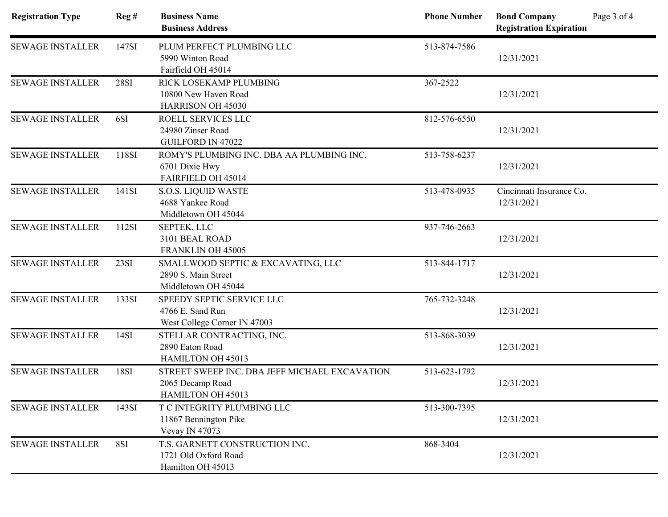| <b>Registration Type</b> | Reg#             | <b>Business Name</b><br><b>Business Address</b>                                        | <b>Phone Number</b> | Page 3 of 4<br><b>Bond Company</b><br><b>Registration Expiration</b> |
|--------------------------|------------------|----------------------------------------------------------------------------------------|---------------------|----------------------------------------------------------------------|
| <b>SEWAGE INSTALLER</b>  | 147SI            | PLUM PERFECT PLUMBING LLC<br>5990 Winton Road<br>Fairfield OH 45014                    | 513-874-7586        | 12/31/2021                                                           |
| <b>SEWAGE INSTALLER</b>  | <b>28SI</b>      | RICK LOSEKAMP PLUMBING<br>10800 New Haven Road<br><b>HARRISON OH 45030</b>             | 367-2522            | 12/31/2021                                                           |
| <b>SEWAGE INSTALLER</b>  | 6SI              | ROELL SERVICES LLC<br>24980 Zinser Road<br><b>GUILFORD IN 47022</b>                    | 812-576-6550        | 12/31/2021                                                           |
| <b>SEWAGE INSTALLER</b>  | 118SI            | ROMY'S PLUMBING INC. DBA AA PLUMBING INC.<br>6701 Dixie Hwy<br>FAIRFIELD OH 45014      | 513-758-6237        | 12/31/2021                                                           |
| <b>SEWAGE INSTALLER</b>  | 141SI            | <b>S.O.S. LIQUID WASTE</b><br>4688 Yankee Road<br>Middletown OH 45044                  | 513-478-0935        | Cincinnati Insurance Co.<br>12/31/2021                               |
| <b>SEWAGE INSTALLER</b>  | 112SI            | SEPTEK, LLC<br>3101 BEAL ROAD<br>FRANKLIN OH 45005                                     | 937-746-2663        | 12/31/2021                                                           |
| <b>SEWAGE INSTALLER</b>  | 23SI             | SMALLWOOD SEPTIC & EXCAVATING, LLC<br>2890 S. Main Street<br>Middletown OH 45044       | 513-844-1717        | 12/31/2021                                                           |
| <b>SEWAGE INSTALLER</b>  | 133SI            | SPEEDY SEPTIC SERVICE LLC<br>4766 E. Sand Run<br>West College Corner IN 47003          | 765-732-3248        | 12/31/2021                                                           |
| <b>SEWAGE INSTALLER</b>  | 14S <sub>I</sub> | STELLAR CONTRACTING, INC.<br>2890 Eaton Road<br>HAMILTON OH 45013                      | 513-868-3039        | 12/31/2021                                                           |
| <b>SEWAGE INSTALLER</b>  | 18SI             | STREET SWEEP INC. DBA JEFF MICHAEL EXCAVATION<br>2065 Decamp Road<br>HAMILTON OH 45013 | 513-623-1792        | 12/31/2021                                                           |
| <b>SEWAGE INSTALLER</b>  | 143SI            | T C INTEGRITY PLUMBING LLC<br>11867 Bennington Pike<br>Vevay IN 47073                  | 513-300-7395        | 12/31/2021                                                           |
| <b>SEWAGE INSTALLER</b>  | 8SI              | T.S. GARNETT CONSTRUCTION INC.<br>1721 Old Oxford Road<br>Hamilton OH 45013            | 868-3404            | 12/31/2021                                                           |